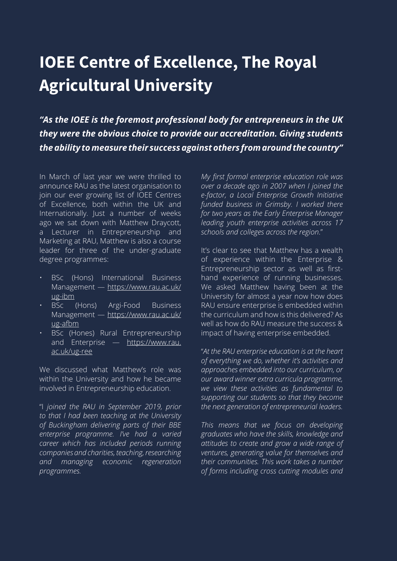## **IOEE Centre of Excellence, The Royal Agricultural University**

*"As the IOEE is the foremost professional body for entrepreneurs in the UK they were the obvious choice to provide our accreditation. Giving students the ability to measure their success against others from around the country"*

In March of last year we were thrilled to announce RAU as the latest organisation to join our ever growing list of IOEE Centres of Excellence, both within the UK and Internationally. Just a number of weeks ago we sat down with Matthew Draycott, a Lecturer in Entrepreneurship and Marketing at RAU, Matthew is also a course leader for three of the under-graduate degree programmes:

- BSc (Hons) International Business Management — [https://www.rau.ac.uk/](https://www.rau.ac.uk/ug-ibm) [ug-ibm](https://www.rau.ac.uk/ug-ibm)
- BSc (Hons) Argi-Food Business Management — [https://www.rau.ac.uk/](https://www.rau.ac.uk/ug-afbm) [ug-afbm](https://www.rau.ac.uk/ug-afbm)
- BSc (Hones) Rural Entrepreneurship and Enterprise — [https://www.rau.](https://www.rau.ac.uk/ug-ree) [ac.uk/ug-ree](https://www.rau.ac.uk/ug-ree)

We discussed what Matthew's role was within the University and how he became involved in Entrepreneurship education.

"I *joined the RAU in September 2019, prior to that I had been teaching at the University of Buckingham delivering parts of their BBE enterprise programme. I've had a varied career which has included periods running companies and charities, teaching, researching and managing economic regeneration programmes.*

*My first formal enterprise education role was over a decade ago in 2007 when I joined the e-factor, a Local Enterprise Growth Initiative funded business in Grimsby. I worked there for two years as the Early Enterprise Manager leading youth enterprise activities across 17 schools and colleges across the region*."

It's clear to see that Matthew has a wealth of experience within the Enterprise & Entrepreneurship sector as well as firsthand experience of running businesses. We asked Matthew having been at the University for almost a year now how does RAU ensure enterprise is embedded within the curriculum and how is this delivered? As well as how do RAU measure the success & impact of having enterprise embedded.

"*At the RAU enterprise education is at the heart of everything we do, whether it's activities and approaches embedded into our curriculum, or our award winner extra curricula programme, we view these activities as fundamental to supporting our students so that they become the next generation of entrepreneurial leaders.* 

*This means that we focus on developing graduates who have the skills, knowledge and attitudes to create and grow a wide range of ventures, generating value for themselves and their communities. This work takes a number of forms including cross cutting modules and*